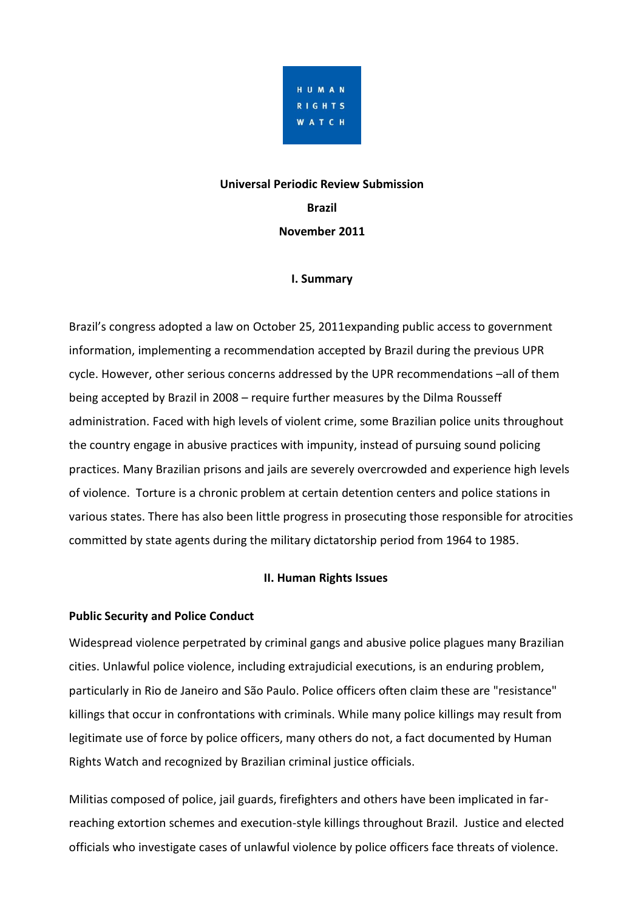

#### **Universal Periodic Review Submission**

**Brazil**

**November 2011**

#### **I. Summary**

Brazil's congress adopted a law on October 25, 2011expanding public access to government information, implementing a recommendation accepted by Brazil during the previous UPR cycle. However, other serious concerns addressed by the UPR recommendations –all of them being accepted by Brazil in 2008 – require further measures by the Dilma Rousseff administration. Faced with high levels of violent crime, some Brazilian police units throughout the country engage in abusive practices with impunity, instead of pursuing sound policing practices. Many Brazilian prisons and jails are severely overcrowded and experience high levels of violence. Torture is a chronic problem at certain detention centers and police stations in various states. There has also been little progress in prosecuting those responsible for atrocities committed by state agents during the military dictatorship period from 1964 to 1985.

## **II. Human Rights Issues**

## **Public Security and Police Conduct**

Widespread violence perpetrated by criminal gangs and abusive police plagues many Brazilian cities. Unlawful police violence, including extrajudicial executions, is an enduring problem, particularly in Rio de Janeiro and São Paulo. Police officers often claim these are "resistance" killings that occur in confrontations with criminals. While many police killings may result from legitimate use of force by police officers, many others do not, a fact documented by Human Rights Watch and recognized by Brazilian criminal justice officials.

Militias composed of police, jail guards, firefighters and others have been implicated in farreaching extortion schemes and execution-style killings throughout Brazil. Justice and elected officials who investigate cases of unlawful violence by police officers face threats of violence.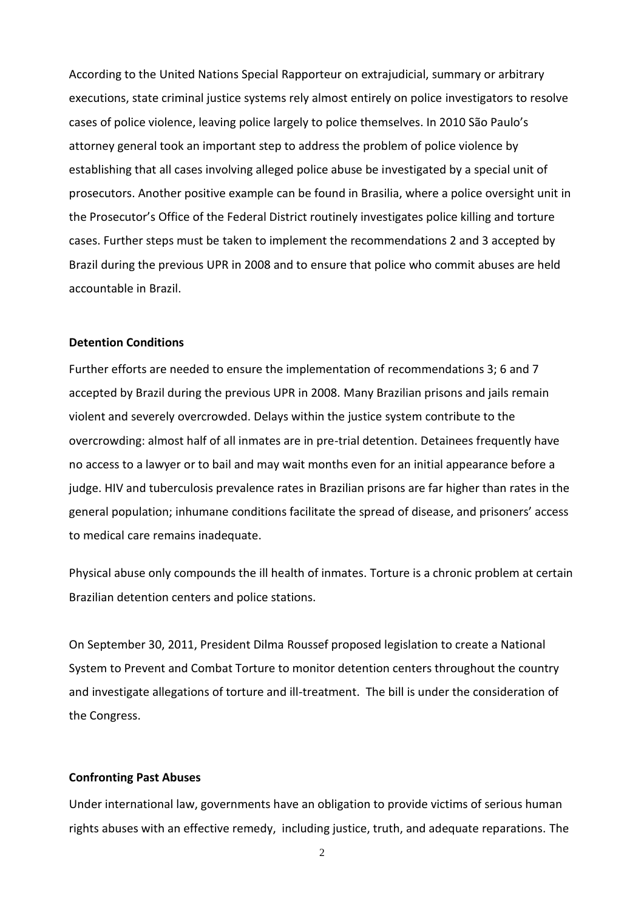According to the United Nations Special Rapporteur on extrajudicial, summary or arbitrary executions, state criminal justice systems rely almost entirely on police investigators to resolve cases of police violence, leaving police largely to police themselves. In 2010 São Paulo's attorney general took an important step to address the problem of police violence by establishing that all cases involving alleged police abuse be investigated by a special unit of prosecutors. Another positive example can be found in Brasilia, where a police oversight unit in the Prosecutor's Office of the Federal District routinely investigates police killing and torture cases. Further steps must be taken to implement the recommendations 2 and 3 accepted by Brazil during the previous UPR in 2008 and to ensure that police who commit abuses are held accountable in Brazil.

#### **Detention Conditions**

Further efforts are needed to ensure the implementation of recommendations 3; 6 and 7 accepted by Brazil during the previous UPR in 2008. Many Brazilian prisons and jails remain violent and severely overcrowded. Delays within the justice system contribute to the overcrowding: almost half of all inmates are in pre-trial detention. Detainees frequently have no access to a lawyer or to bail and may wait months even for an initial appearance before a judge. HIV and tuberculosis prevalence rates in Brazilian prisons are far higher than rates in the general population; inhumane conditions facilitate the spread of disease, and prisoners' access to medical care remains inadequate.

Physical abuse only compounds the ill health of inmates. Torture is a chronic problem at certain Brazilian detention centers and police stations.

On September 30, 2011, President Dilma Roussef proposed legislation to create a National System to Prevent and Combat Torture to monitor detention centers throughout the country and investigate allegations of torture and ill-treatment. The bill is under the consideration of the Congress.

#### **Confronting Past Abuses**

Under international law, governments have an obligation to provide victims of serious human rights abuses with an effective remedy, including justice, truth, and adequate reparations. The

2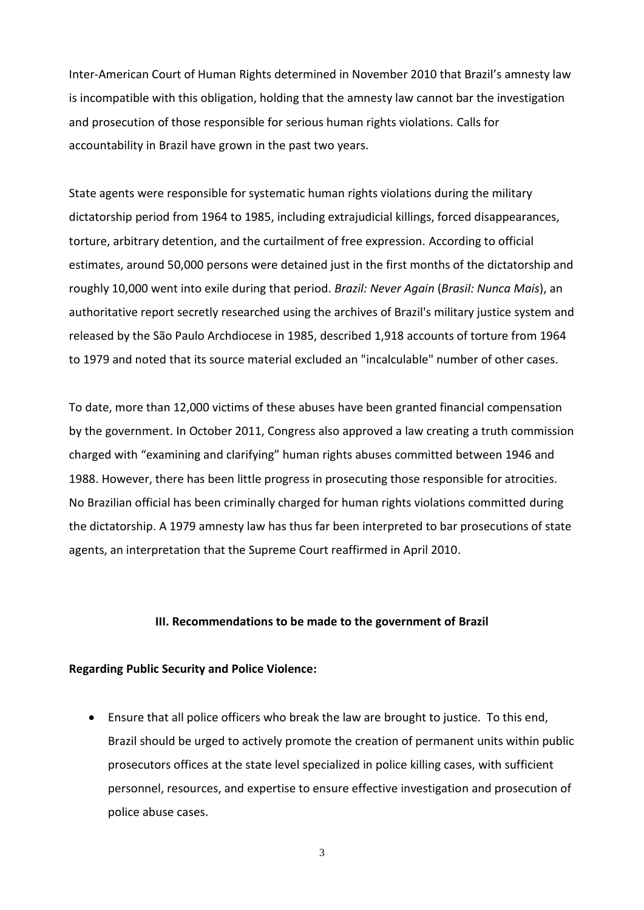Inter-American Court of Human Rights determined in November 2010 that Brazil's amnesty law is incompatible with this obligation, holding that the amnesty law cannot bar the investigation and prosecution of those responsible for serious human rights violations. Calls for accountability in Brazil have grown in the past two years.

State agents were responsible for systematic human rights violations during the military dictatorship period from 1964 to 1985, including extrajudicial killings, forced disappearances, torture, arbitrary detention, and the curtailment of free expression. According to official estimates, around 50,000 persons were detained just in the first months of the dictatorship and roughly 10,000 went into exile during that period. *Brazil: Never Again* (*Brasil: Nunca Mais*), an authoritative report secretly researched using the archives of Brazil's military justice system and released by the São Paulo Archdiocese in 1985, described 1,918 accounts of torture from 1964 to 1979 and noted that its source material excluded an "incalculable" number of other cases.

To date, more than 12,000 victims of these abuses have been granted financial compensation by the government. In October 2011, Congress also approved a law creating a truth commission charged with "examining and clarifying" human rights abuses committed between 1946 and 1988. However, there has been little progress in prosecuting those responsible for atrocities. No Brazilian official has been criminally charged for human rights violations committed during the dictatorship. A 1979 amnesty law has thus far been interpreted to bar prosecutions of state agents, an interpretation that the Supreme Court reaffirmed in April 2010.

#### **III. Recommendations to be made to the government of Brazil**

#### **Regarding Public Security and Police Violence:**

 Ensure that all police officers who break the law are brought to justice. To this end, Brazil should be urged to actively promote the creation of permanent units within public prosecutors offices at the state level specialized in police killing cases, with sufficient personnel, resources, and expertise to ensure effective investigation and prosecution of police abuse cases.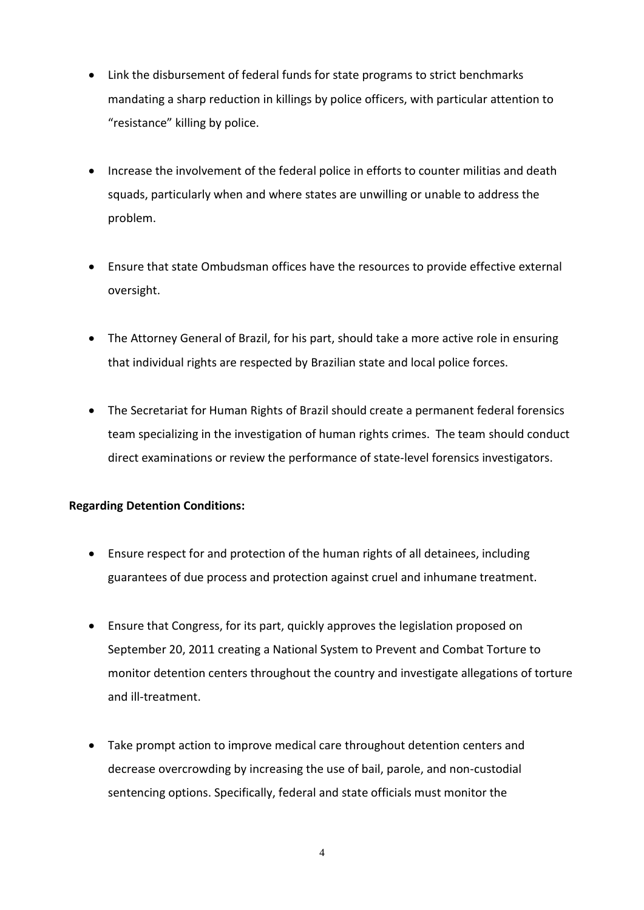- Link the disbursement of federal funds for state programs to strict benchmarks mandating a sharp reduction in killings by police officers, with particular attention to "resistance" killing by police.
- Increase the involvement of the federal police in efforts to counter militias and death squads, particularly when and where states are unwilling or unable to address the problem.
- Ensure that state Ombudsman offices have the resources to provide effective external oversight.
- The Attorney General of Brazil, for his part, should take a more active role in ensuring that individual rights are respected by Brazilian state and local police forces.
- The Secretariat for Human Rights of Brazil should create a permanent federal forensics team specializing in the investigation of human rights crimes. The team should conduct direct examinations or review the performance of state-level forensics investigators.

# **Regarding Detention Conditions:**

- Ensure respect for and protection of the human rights of all detainees, including guarantees of due process and protection against cruel and inhumane treatment.
- Ensure that Congress, for its part, quickly approves the legislation proposed on September 20, 2011 creating a National System to Prevent and Combat Torture to monitor detention centers throughout the country and investigate allegations of torture and ill-treatment.
- Take prompt action to improve medical care throughout detention centers and decrease overcrowding by increasing the use of bail, parole, and non-custodial sentencing options. Specifically, federal and state officials must monitor the